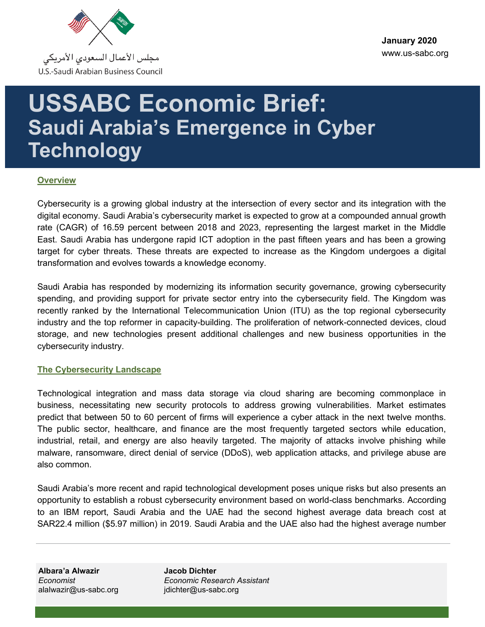

# **USSABC Economic Brief: Saudi Arabia's Emergence in Cyber Technology**

## **Overview**

Cybersecurity is a growing global industry at the intersection of every sector and its integration with the digital economy. Saudi Arabia's cybersecurity market is expected to grow at a compounded annual growth rate (CAGR) of 16.59 percent between 2018 and 2023, representing the largest market in the Middle East. Saudi Arabia has undergone rapid ICT adoption in the past fifteen years and has been a growing target for cyber threats. These threats are expected to increase as the Kingdom undergoes a digital transformation and evolves towards a knowledge economy.

Saudi Arabia has responded by modernizing its information security governance, growing cybersecurity spending, and providing support for private sector entry into the cybersecurity field. The Kingdom was recently ranked by the International Telecommunication Union (ITU) as the top regional cybersecurity industry and the top reformer in capacity-building. The proliferation of network-connected devices, cloud storage, and new technologies present additional challenges and new business opportunities in the cybersecurity industry.

## **The Cybersecurity Landscape**

Technological integration and mass data storage via cloud sharing are becoming commonplace in business, necessitating new security protocols to address growing vulnerabilities. Market estimates predict that between 50 to 60 percent of firms will experience a cyber attack in the next twelve months. The public sector, healthcare, and finance are the most frequently targeted sectors while education, industrial, retail, and energy are also heavily targeted. The majority of attacks involve phishing while malware, ransomware, direct denial of service (DDoS), web application attacks, and privilege abuse are also common.

Saudi Arabia's more recent and rapid technological development poses unique risks but also presents an opportunity to establish a robust cybersecurity environment based on world-class benchmarks. According to an IBM report, Saudi Arabia and the UAE had the second highest average data breach cost at SAR22.4 million (\$5.97 million) in 2019. Saudi Arabia and the UAE also had the highest average number

**Albara'a Alwazir** *Economist* alalwazir@us-sabc.org **Jacob Dichter** *Economic Research Assistant* jdichter@us-sabc.org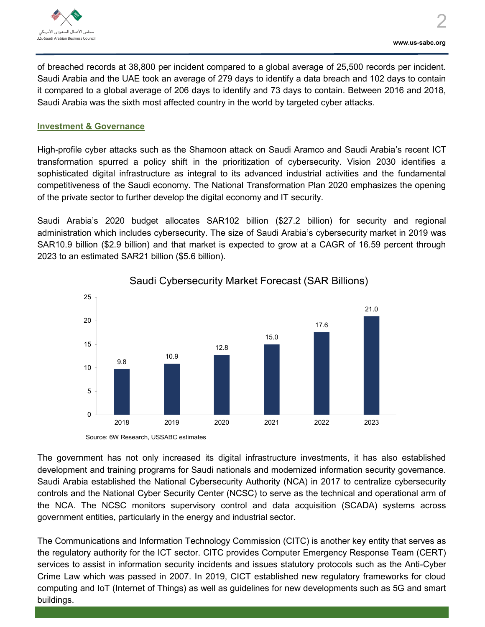

of breached records at 38,800 per incident compared to a global average of 25,500 records per incident. Saudi Arabia and the UAE took an average of 279 days to identify a data breach and 102 days to contain it compared to a global average of 206 days to identify and 73 days to contain. Between 2016 and 2018, Saudi Arabia was the sixth most affected country in the world by targeted cyber attacks.

## **Investment & Governance**

High-profile cyber attacks such as the Shamoon attack on Saudi Aramco and Saudi Arabia's recent ICT transformation spurred a policy shift in the prioritization of cybersecurity. Vision 2030 identifies a sophisticated digital infrastructure as integral to its advanced industrial activities and the fundamental competitiveness of the Saudi economy. The National Transformation Plan 2020 emphasizes the opening of the private sector to further develop the digital economy and IT security.

Saudi Arabia's 2020 budget allocates SAR102 billion (\$27.2 billion) for security and regional administration which includes cybersecurity. The size of Saudi Arabia's cybersecurity market in 2019 was SAR10.9 billion (\$2.9 billion) and that market is expected to grow at a CAGR of 16.59 percent through 2023 to an estimated SAR21 billion (\$5.6 billion).



Saudi Cybersecurity Market Forecast (SAR Billions)

The government has not only increased its digital infrastructure investments, it has also established development and training programs for Saudi nationals and modernized information security governance. Saudi Arabia established the National Cybersecurity Authority (NCA) in 2017 to centralize cybersecurity controls and the National Cyber Security Center (NCSC) to serve as the technical and operational arm of the NCA. The NCSC monitors supervisory control and data acquisition (SCADA) systems across government entities, particularly in the energy and industrial sector.

The Communications and Information Technology Commission (CITC) is another key entity that serves as the regulatory authority for the ICT sector. CITC provides Computer Emergency Response Team (CERT) services to assist in information security incidents and issues statutory protocols such as the Anti-Cyber Crime Law which was passed in 2007. In 2019, CICT established new regulatory frameworks for cloud computing and IoT (Internet of Things) as well as guidelines for new developments such as 5G and smart buildings.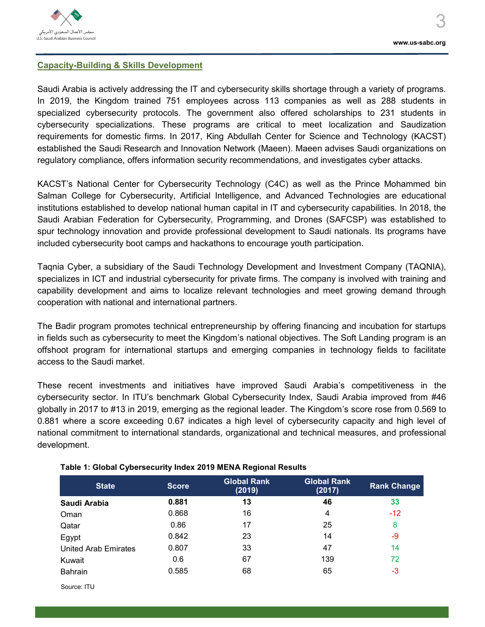

## **Capacity-Building & Skills Development**

Saudi Arabia is actively addressing the IT and cybersecurity skills shortage through a variety of programs. In 2019, the Kingdom trained 751 employees across 113 companies as well as 288 students in specialized cybersecurity protocols. The government also offered scholarships to 231 students in cybersecurity specializations. These programs are critical to meet localization and Saudization requirements for domestic firms. In 2017, King Abdullah Center for Science and Technology (KACST) established the Saudi Research and Innovation Network (Maeen). Maeen advises Saudi organizations on regulatory compliance, offers information security recommendations, and investigates cyber attacks.

KACST's National Center for Cybersecurity Technology (C4C) as well as the Prince Mohammed bin Salman College for Cybersecurity, Artificial Intelligence, and Advanced Technologies are educational institutions established to develop national human capital in IT and cybersecurity capabilities. In 2018, the Saudi Arabian Federation for Cybersecurity, Programming, and Drones (SAFCSP) was established to spur technology innovation and provide professional development to Saudi nationals. Its programs have included cybersecurity boot camps and hackathons to encourage youth participation.

Taqnia Cyber, a subsidiary of the Saudi Technology Development and Investment Company (TAQNIA), specializes in ICT and industrial cybersecurity for private firms. The company is involved with training and capability development and aims to localize relevant technologies and meet growing demand through cooperation with national and international partners.

The Badir program promotes technical entrepreneurship by offering financing and incubation for startups in fields such as cybersecurity to meet the Kingdom's national objectives. The Soft Landing program is an offshoot program for international startups and emerging companies in technology fields to facilitate access to the Saudi market.

These recent investments and initiatives have improved Saudi Arabia's competitiveness in the cybersecurity sector. In ITU's benchmark Global Cybersecurity Index, Saudi Arabia improved from #46 globally in 2017 to #13 in 2019, emerging as the regional leader. The Kingdom's score rose from 0.569 to 0.881 where a score exceeding 0.67 indicates a high level of cybersecurity capacity and high level of national commitment to international standards, organizational and technical measures, and professional development.

| <b>State</b>                | <b>Score</b> | <b>Global Rank</b><br>(2019) | <b>Global Rank</b><br>(2017) | <b>Rank Change</b> |
|-----------------------------|--------------|------------------------------|------------------------------|--------------------|
| Saudi Arabia                | 0.881        | 13                           | 46                           | 33                 |
| Oman                        | 0.868        | 16                           | 4                            | $-12$              |
| Qatar                       | 0.86         | 17                           | 25                           | 8                  |
| Egypt                       | 0.842        | 23                           | 14                           | -9                 |
| <b>United Arab Emirates</b> | 0.807        | 33                           | 47                           | 14                 |
| Kuwait                      | 0.6          | 67                           | 139                          | 72                 |
| <b>Bahrain</b>              | 0.585        | 68                           | 65                           | $-3$               |

#### **Table 1: Global Cybersecurity Index 2019 MENA Regional Results**

Source: ITU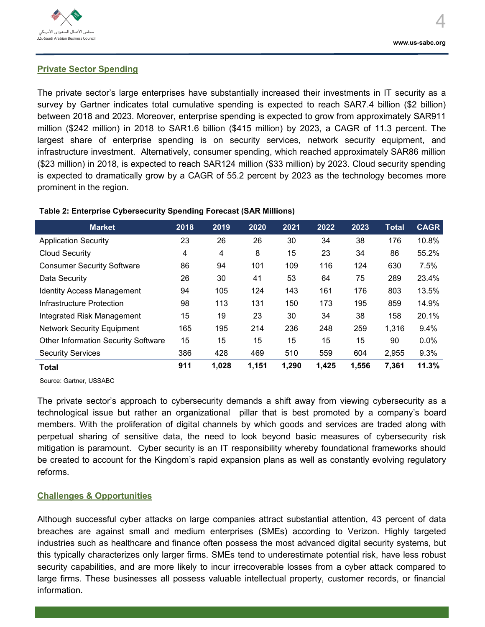

## **Private Sector Spending**

The private sector's large enterprises have substantially increased their investments in IT security as a survey by Gartner indicates total cumulative spending is expected to reach SAR7.4 billion (\$2 billion) between 2018 and 2023. Moreover, enterprise spending is expected to grow from approximately SAR911 million (\$242 million) in 2018 to SAR1.6 billion (\$415 million) by 2023, a CAGR of 11.3 percent. The largest share of enterprise spending is on security services, network security equipment, and infrastructure investment. Alternatively, consumer spending, which reached approximately SAR86 million (\$23 million) in 2018, is expected to reach SAR124 million (\$33 million) by 2023. Cloud security spending is expected to dramatically grow by a CAGR of 55.2 percent by 2023 as the technology becomes more prominent in the region.

## **Table 2: Enterprise Cybersecurity Spending Forecast (SAR Millions)**

| <b>Market</b>                              | 2018 | 2019  | 2020  | 2021  | 2022  | 2023  | <b>Total</b> | <b>CAGR</b> |
|--------------------------------------------|------|-------|-------|-------|-------|-------|--------------|-------------|
| <b>Application Security</b>                | 23   | 26    | 26    | 30    | 34    | 38    | 176          | 10.8%       |
| <b>Cloud Security</b>                      | 4    | 4     | 8     | 15    | 23    | 34    | 86           | 55.2%       |
| <b>Consumer Security Software</b>          | 86   | 94    | 101   | 109   | 116   | 124   | 630          | 7.5%        |
| Data Security                              | 26   | 30    | 41    | 53    | 64    | 75    | 289          | 23.4%       |
| <b>Identity Access Management</b>          | 94   | 105   | 124   | 143   | 161   | 176   | 803          | 13.5%       |
| Infrastructure Protection                  | 98   | 113   | 131   | 150   | 173   | 195   | 859          | 14.9%       |
| Integrated Risk Management                 | 15   | 19    | 23    | 30    | 34    | 38    | 158          | 20.1%       |
| <b>Network Security Equipment</b>          | 165  | 195   | 214   | 236   | 248   | 259   | 1,316        | 9.4%        |
| <b>Other Information Security Software</b> | 15   | 15    | 15    | 15    | 15    | 15    | 90           | 0.0%        |
| <b>Security Services</b>                   | 386  | 428   | 469   | 510   | 559   | 604   | 2,955        | 9.3%        |
| <b>Total</b>                               | 911  | 1,028 | 1,151 | 1,290 | 1,425 | 1,556 | 7,361        | 11.3%       |

Source: Gartner, USSABC

The private sector's approach to cybersecurity demands a shift away from viewing cybersecurity as a technological issue but rather an organizational pillar that is best promoted by a company's board members. With the proliferation of digital channels by which goods and services are traded along with perpetual sharing of sensitive data, the need to look beyond basic measures of cybersecurity risk mitigation is paramount. Cyber security is an IT responsibility whereby foundational frameworks should be created to account for the Kingdom's rapid expansion plans as well as constantly evolving regulatory reforms.

## **Challenges & Opportunities**

Although successful cyber attacks on large companies attract substantial attention, 43 percent of data breaches are against small and medium enterprises (SMEs) according to Verizon. Highly targeted industries such as healthcare and finance often possess the most advanced digital security systems, but this typically characterizes only larger firms. SMEs tend to underestimate potential risk, have less robust security capabilities, and are more likely to incur irrecoverable losses from a cyber attack compared to large firms. These businesses all possess valuable intellectual property, customer records, or financial information.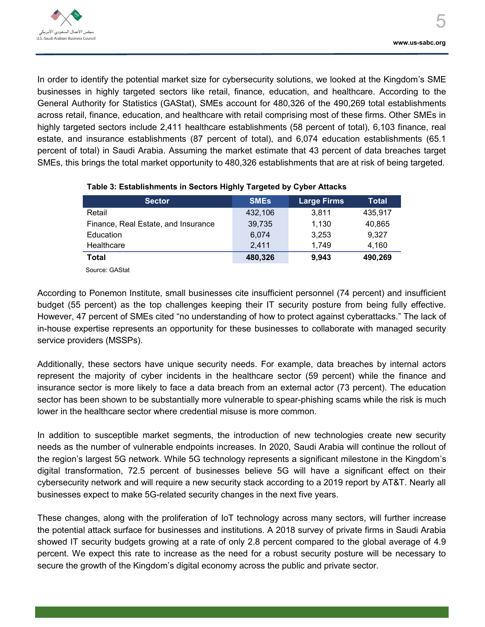In order to identify the potential market size for cybersecurity solutions, we looked at the Kingdom's SME businesses in highly targeted sectors like retail, finance, education, and healthcare. According to the General Authority for Statistics (GAStat), SMEs account for 480,326 of the 490,269 total establishments across retail, finance, education, and healthcare with retail comprising most of these firms. Other SMEs in highly targeted sectors include 2,411 healthcare establishments (58 percent of total), 6,103 finance, real estate, and insurance establishments (87 percent of total), and 6,074 education establishments (65.1 percent of total) in Saudi Arabia. Assuming the market estimate that 43 percent of data breaches target SMEs, this brings the total market opportunity to 480,326 establishments that are at risk of being targeted.

| <b>Sector</b>                       | <b>SMES</b> | <b>Large Firms</b> | Total   |
|-------------------------------------|-------------|--------------------|---------|
| Retail                              | 432,106     | 3.811              | 435,917 |
| Finance, Real Estate, and Insurance | 39,735      | 1.130              | 40,865  |
| Education                           | 6.074       | 3.253              | 9.327   |
| Healthcare                          | 2.411       | 1.749              | 4.160   |
| <b>Total</b>                        | 480,326     | 9.943              | 490,269 |

## **Table 3: Establishments in Sectors Highly Targeted by Cyber Attacks**

Source: GAStat

According to Ponemon Institute, small businesses cite insufficient personnel (74 percent) and insufficient budget (55 percent) as the top challenges keeping their IT security posture from being fully effective. However, 47 percent of SMEs cited "no understanding of how to protect against cyberattacks." The lack of in-house expertise represents an opportunity for these businesses to collaborate with managed security service providers (MSSPs).

Additionally, these sectors have unique security needs. For example, data breaches by internal actors represent the majority of cyber incidents in the healthcare sector (59 percent) while the finance and insurance sector is more likely to face a data breach from an external actor (73 percent). The education sector has been shown to be substantially more vulnerable to spear-phishing scams while the risk is much lower in the healthcare sector where credential misuse is more common.

In addition to susceptible market segments, the introduction of new technologies create new security needs as the number of vulnerable endpoints increases. In 2020, Saudi Arabia will continue the rollout of the region's largest 5G network. While 5G technology represents a significant milestone in the Kingdom's digital transformation, 72.5 percent of businesses believe 5G will have a significant effect on their cybersecurity network and will require a new security stack according to a 2019 report by AT&T. Nearly all businesses expect to make 5G-related security changes in the next five years.

These changes, along with the proliferation of IoT technology across many sectors, will further increase the potential attack surface for businesses and institutions. A 2018 survey of private firms in Saudi Arabia showed IT security budgets growing at a rate of only 2.8 percent compared to the global average of 4.9 percent. We expect this rate to increase as the need for a robust security posture will be necessary to secure the growth of the Kingdom's digital economy across the public and private sector.